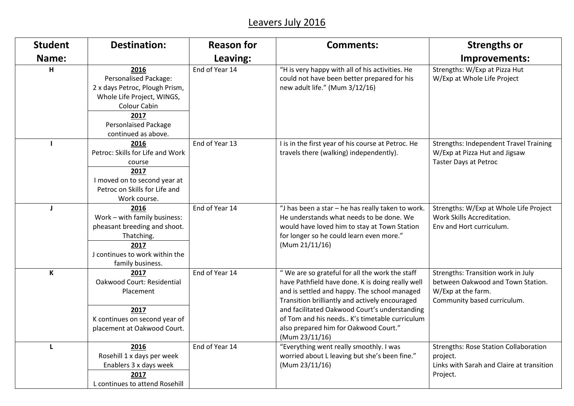## Leavers July 2016

| <b>Student</b> | <b>Destination:</b>                                                                                                                                                                | <b>Reason for</b> | <b>Comments:</b>                                                                                                                                                                                                                                                                                                                                                  | <b>Strengths or</b>                                                                                                          |
|----------------|------------------------------------------------------------------------------------------------------------------------------------------------------------------------------------|-------------------|-------------------------------------------------------------------------------------------------------------------------------------------------------------------------------------------------------------------------------------------------------------------------------------------------------------------------------------------------------------------|------------------------------------------------------------------------------------------------------------------------------|
| Name:          |                                                                                                                                                                                    | Leaving:          |                                                                                                                                                                                                                                                                                                                                                                   | Improvements:                                                                                                                |
| H              | 2016<br>Personalised Package:<br>2 x days Petroc, Plough Prism,<br>Whole Life Project, WINGS,<br><b>Colour Cabin</b><br>2017<br><b>Personlaised Package</b><br>continued as above. | End of Year 14    | "H is very happy with all of his activities. He<br>could not have been better prepared for his<br>new adult life." (Mum 3/12/16)                                                                                                                                                                                                                                  | Strengths: W/Exp at Pizza Hut<br>W/Exp at Whole Life Project                                                                 |
|                | 2016<br>Petroc: Skills for Life and Work<br>course<br>2017<br>I moved on to second year at<br>Petroc on Skills for Life and<br>Work course.                                        | End of Year 13    | I is in the first year of his course at Petroc. He<br>travels there (walking) independently).                                                                                                                                                                                                                                                                     | <b>Strengths: Independent Travel Training</b><br>W/Exp at Pizza Hut and Jigsaw<br>Taster Days at Petroc                      |
| J              | 2016<br>Work - with family business:<br>pheasant breeding and shoot.<br>Thatching.<br>2017<br>J continues to work within the<br>family business.                                   | End of Year 14    | "J has been a star - he has really taken to work.<br>He understands what needs to be done. We<br>would have loved him to stay at Town Station<br>for longer so he could learn even more."<br>(Mum 21/11/16)                                                                                                                                                       | Strengths: W/Exp at Whole Life Project<br>Work Skills Accreditation.<br>Env and Hort curriculum.                             |
| K              | 2017<br>Oakwood Court: Residential<br>Placement<br>2017<br>K continues on second year of<br>placement at Oakwood Court.                                                            | End of Year 14    | "We are so grateful for all the work the staff<br>have Pathfield have done. K is doing really well<br>and is settled and happy. The school managed<br>Transition brilliantly and actively encouraged<br>and facilitated Oakwood Court's understanding<br>of Tom and his needs K's timetable curriculum<br>also prepared him for Oakwood Court."<br>(Mum 23/11/16) | Strengths: Transition work in July<br>between Oakwood and Town Station.<br>W/Exp at the farm.<br>Community based curriculum. |
|                | 2016<br>Rosehill 1 x days per week<br>Enablers 3 x days week<br>2017<br>L continues to attend Rosehill                                                                             | End of Year 14    | "Everything went really smoothly. I was<br>worried about L leaving but she's been fine."<br>(Mum 23/11/16)                                                                                                                                                                                                                                                        | <b>Strengths: Rose Station Collaboration</b><br>project.<br>Links with Sarah and Claire at transition<br>Project.            |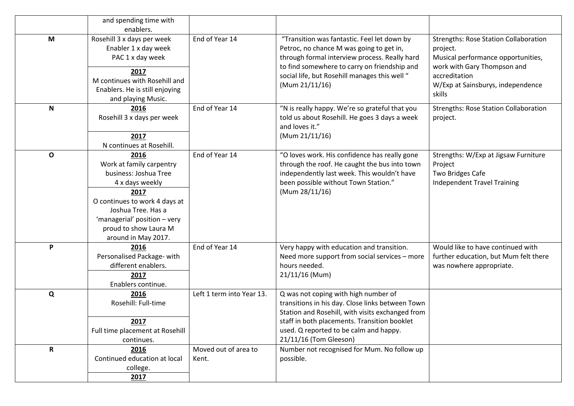|              | and spending time with                                                                                                                                                                                                      |                               |                                                                                                                                                                                                                                                                  |                                                                                                                                                                                               |
|--------------|-----------------------------------------------------------------------------------------------------------------------------------------------------------------------------------------------------------------------------|-------------------------------|------------------------------------------------------------------------------------------------------------------------------------------------------------------------------------------------------------------------------------------------------------------|-----------------------------------------------------------------------------------------------------------------------------------------------------------------------------------------------|
| M            | enablers.<br>Rosehill 3 x days per week<br>Enabler 1 x day week<br>PAC 1 x day week<br>2017<br>M continues with Rosehill and<br>Enablers. He is still enjoying<br>and playing Music.                                        | End of Year 14                | "Transition was fantastic. Feel let down by<br>Petroc, no chance M was going to get in,<br>through formal interview process. Really hard<br>to find somewhere to carry on friendship and<br>social life, but Rosehill manages this well "<br>(Mum 21/11/16)      | <b>Strengths: Rose Station Collaboration</b><br>project.<br>Musical performance opportunities,<br>work with Gary Thompson and<br>accreditation<br>W/Exp at Sainsburys, independence<br>skills |
| $\mathsf{N}$ | 2016<br>Rosehill 3 x days per week<br>2017<br>N continues at Rosehill.                                                                                                                                                      | End of Year 14                | "N is really happy. We're so grateful that you<br>told us about Rosehill. He goes 3 days a week<br>and loves it."<br>(Mum 21/11/16)                                                                                                                              | <b>Strengths: Rose Station Collaboration</b><br>project.                                                                                                                                      |
| O            | 2016<br>Work at family carpentry<br>business: Joshua Tree<br>4 x days weekly<br>2017<br>O continues to work 4 days at<br>Joshua Tree. Has a<br>'managerial' position - very<br>proud to show Laura M<br>around in May 2017. | End of Year 14                | "O loves work. His confidence has really gone<br>through the roof. He caught the bus into town<br>independently last week. This wouldn't have<br>been possible without Town Station."<br>(Mum 28/11/16)                                                          | Strengths: W/Exp at Jigsaw Furniture<br>Project<br><b>Two Bridges Cafe</b><br><b>Independent Travel Training</b>                                                                              |
| P            | 2016<br>Personalised Package- with<br>different enablers.<br>2017<br>Enablers continue.                                                                                                                                     | End of Year 14                | Very happy with education and transition.<br>Need more support from social services - more<br>hours needed.<br>21/11/16 (Mum)                                                                                                                                    | Would like to have continued with<br>further education, but Mum felt there<br>was nowhere appropriate.                                                                                        |
| Q            | 2016<br>Rosehill: Full-time<br>2017<br>Full time placement at Rosehill<br>continues.                                                                                                                                        | Left 1 term into Year 13.     | Q was not coping with high number of<br>transitions in his day. Close links between Town<br>Station and Rosehill, with visits exchanged from<br>staff in both placements. Transition booklet<br>used. Q reported to be calm and happy.<br>21/11/16 (Tom Gleeson) |                                                                                                                                                                                               |
| $\mathbf R$  | 2016<br>Continued education at local<br>college.<br>2017                                                                                                                                                                    | Moved out of area to<br>Kent. | Number not recognised for Mum. No follow up<br>possible.                                                                                                                                                                                                         |                                                                                                                                                                                               |